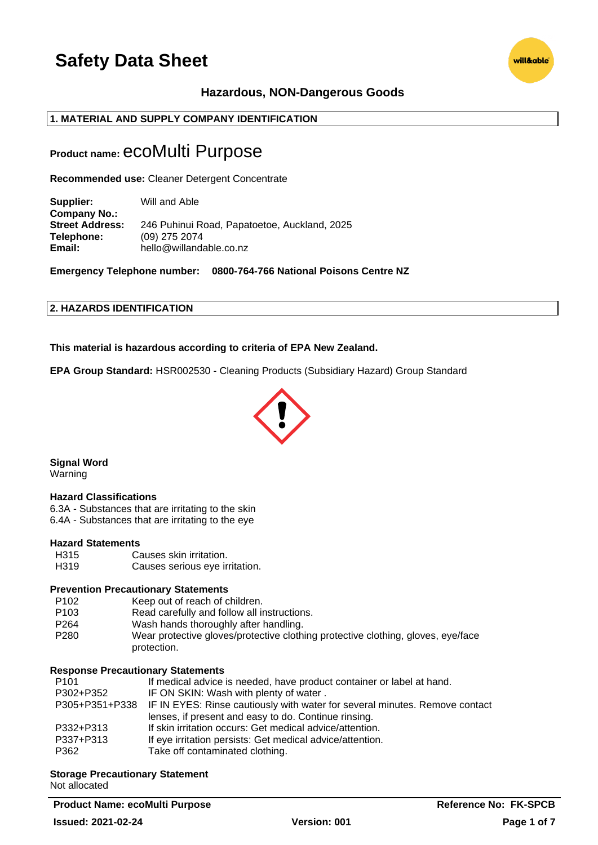# **Hazardous, NON-Dangerous Goods**

# **1. MATERIAL AND SUPPLY COMPANY IDENTIFICATION**

# **Product name:** ecoMulti Purpose

**Recommended use:** Cleaner Detergent Concentrate

**Supplier:** Will and Able **Company No.: Street Address:** 246 Puhinui Road, Papatoetoe, Auckland, 2025 **Telephone:** (09) 275 2074 **Email:** hello@willandable.co.nz

**Emergency Telephone number: 0800-764-766 National Poisons Centre NZ**

# **2. HAZARDS IDENTIFICATION**

**This material is hazardous according to criteria of EPA New Zealand.**

**EPA Group Standard:** HSR002530 - Cleaning Products (Subsidiary Hazard) Group Standard



**Signal Word**

Warning

### **Hazard Classifications**

6.3A - Substances that are irritating to the skin 6.4A - Substances that are irritating to the eye

### **Hazard Statements**

H315 Causes skin irritation. H319 Causes serious eye irritation.

### **Prevention Precautionary Statements**

- P102 Keep out of reach of children.
- P103 Read carefully and follow all instructions.<br>P264 Wash hands thoroughly after handling
- Wash hands thoroughly after handling.
- P280 Wear protective gloves/protective clothing protective clothing, gloves, eye/face protection.

### **Response Precautionary Statements**

| P <sub>101</sub> | If medical advice is needed, have product container or label at hand.                      |
|------------------|--------------------------------------------------------------------------------------------|
| P302+P352        | IF ON SKIN: Wash with plenty of water.                                                     |
|                  | P305+P351+P338 IF IN EYES: Rinse cautiously with water for several minutes. Remove contact |
|                  | lenses, if present and easy to do. Continue rinsing.                                       |
| P332+P313        | If skin irritation occurs: Get medical advice/attention.                                   |
| P337+P313        | If eye irritation persists: Get medical advice/attention.                                  |
| P362             | Take off contaminated clothing.                                                            |

### **Storage Precautionary Statement**

Not allocated

**Product Name: ecoMulti Purpose Reference No: FK-SPCB** 

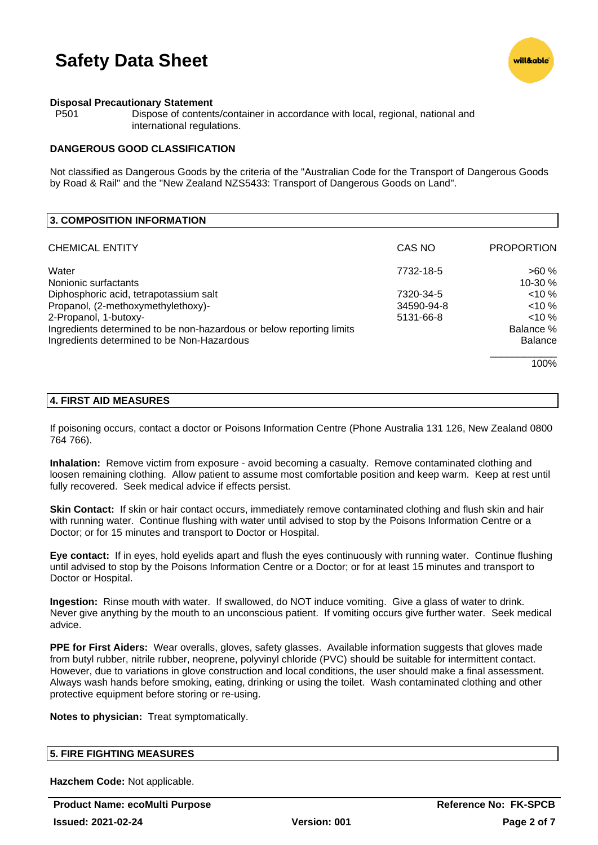

### **Disposal Precautionary Statement**

P501 Dispose of contents/container in accordance with local, regional, national and international regulations.

### **DANGEROUS GOOD CLASSIFICATION**

Not classified as Dangerous Goods by the criteria of the "Australian Code for the Transport of Dangerous Goods by Road & Rail" and the "New Zealand NZS5433: Transport of Dangerous Goods on Land".

| CAS NO     | <b>PROPORTION</b> |
|------------|-------------------|
| 7732-18-5  | >60%              |
|            | 10-30 %           |
| 7320-34-5  | $< 10 \%$         |
| 34590-94-8 | $< 10 \%$         |
| 5131-66-8  | $< 10 \%$         |
|            | Balance %         |
|            | <b>Balance</b>    |
|            | 100%              |
|            |                   |

### **4. FIRST AID MEASURES**

If poisoning occurs, contact a doctor or Poisons Information Centre (Phone Australia 131 126, New Zealand 0800 764 766).

**Inhalation:** Remove victim from exposure - avoid becoming a casualty. Remove contaminated clothing and loosen remaining clothing. Allow patient to assume most comfortable position and keep warm. Keep at rest until fully recovered. Seek medical advice if effects persist.

**Skin Contact:** If skin or hair contact occurs, immediately remove contaminated clothing and flush skin and hair with running water. Continue flushing with water until advised to stop by the Poisons Information Centre or a Doctor; or for 15 minutes and transport to Doctor or Hospital.

**Eye contact:** If in eyes, hold eyelids apart and flush the eyes continuously with running water. Continue flushing until advised to stop by the Poisons Information Centre or a Doctor; or for at least 15 minutes and transport to Doctor or Hospital.

**Ingestion:** Rinse mouth with water. If swallowed, do NOT induce vomiting. Give a glass of water to drink. Never give anything by the mouth to an unconscious patient. If vomiting occurs give further water. Seek medical advice.

**PPE for First Aiders:** Wear overalls, gloves, safety glasses. Available information suggests that gloves made from butyl rubber, nitrile rubber, neoprene, polyvinyl chloride (PVC) should be suitable for intermittent contact. However, due to variations in glove construction and local conditions, the user should make a final assessment. Always wash hands before smoking, eating, drinking or using the toilet. Wash contaminated clothing and other protective equipment before storing or re-using.

**Notes to physician:** Treat symptomatically.

# **5. FIRE FIGHTING MEASURES**

**Hazchem Code:** Not applicable.

**Product Name: ecoMulti Purpose <b>Reference No: FK-SPCB**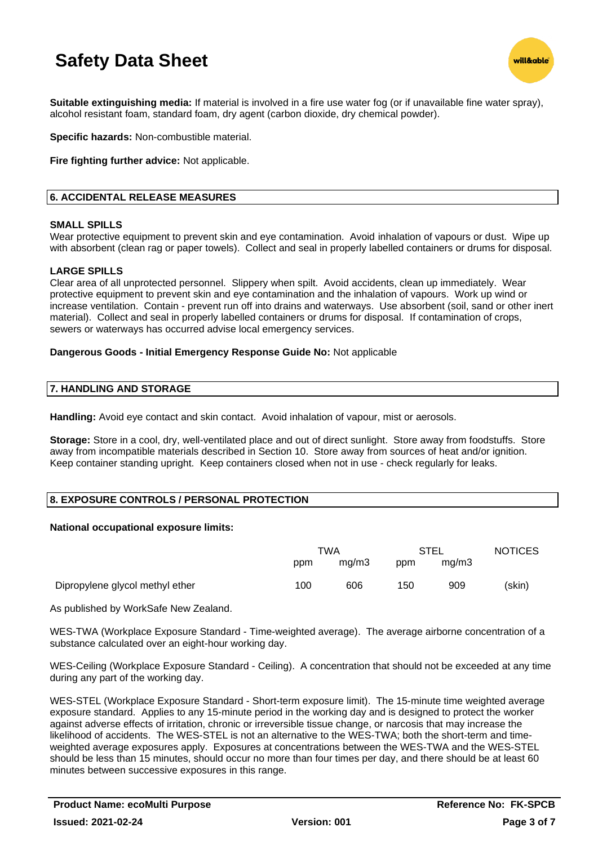

**Suitable extinguishing media:** If material is involved in a fire use water fog (or if unavailable fine water spray), alcohol resistant foam, standard foam, dry agent (carbon dioxide, dry chemical powder).

**Specific hazards:** Non-combustible material.

**Fire fighting further advice:** Not applicable.

# **6. ACCIDENTAL RELEASE MEASURES**

### **SMALL SPILLS**

Wear protective equipment to prevent skin and eye contamination. Avoid inhalation of vapours or dust. Wipe up with absorbent (clean rag or paper towels). Collect and seal in properly labelled containers or drums for disposal.

### **LARGE SPILLS**

Clear area of all unprotected personnel. Slippery when spilt. Avoid accidents, clean up immediately. Wear protective equipment to prevent skin and eye contamination and the inhalation of vapours. Work up wind or increase ventilation. Contain - prevent run off into drains and waterways. Use absorbent (soil, sand or other inert material). Collect and seal in properly labelled containers or drums for disposal. If contamination of crops, sewers or waterways has occurred advise local emergency services.

### **Dangerous Goods - Initial Emergency Response Guide No:** Not applicable

### **7. HANDLING AND STORAGE**

**Handling:** Avoid eye contact and skin contact. Avoid inhalation of vapour, mist or aerosols.

**Storage:** Store in a cool, dry, well-ventilated place and out of direct sunlight. Store away from foodstuffs. Store away from incompatible materials described in Section 10. Store away from sources of heat and/or ignition. Keep container standing upright. Keep containers closed when not in use - check regularly for leaks.

# **8. EXPOSURE CONTROLS / PERSONAL PROTECTION**

### **National occupational exposure limits:**

|                                 | TWA |       | STEL |       | <b>NOTICES</b> |
|---------------------------------|-----|-------|------|-------|----------------|
|                                 | ppm | mq/m3 | ppm  | ma/m3 |                |
| Dipropylene glycol methyl ether | 100 | 606   | 150  | 909   | (skin)         |

As published by WorkSafe New Zealand.

WES-TWA (Workplace Exposure Standard - Time-weighted average). The average airborne concentration of a substance calculated over an eight-hour working day.

WES-Ceiling (Workplace Exposure Standard - Ceiling). A concentration that should not be exceeded at any time during any part of the working day.

WES-STEL (Workplace Exposure Standard - Short-term exposure limit). The 15-minute time weighted average exposure standard. Applies to any 15-minute period in the working day and is designed to protect the worker against adverse effects of irritation, chronic or irreversible tissue change, or narcosis that may increase the likelihood of accidents. The WES-STEL is not an alternative to the WES-TWA; both the short-term and timeweighted average exposures apply. Exposures at concentrations between the WES-TWA and the WES-STEL should be less than 15 minutes, should occur no more than four times per day, and there should be at least 60 minutes between successive exposures in this range.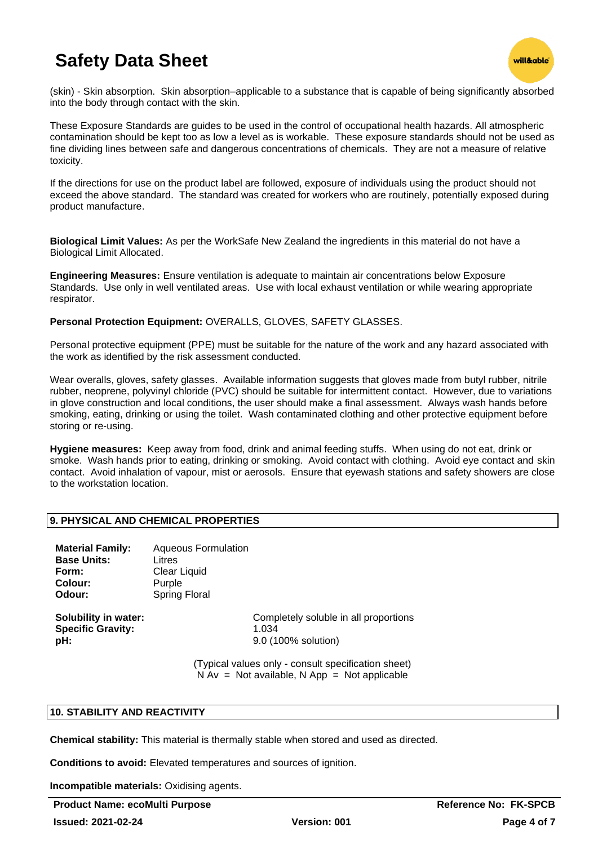

(skin) - Skin absorption. Skin absorption–applicable to a substance that is capable of being significantly absorbed into the body through contact with the skin.

These Exposure Standards are guides to be used in the control of occupational health hazards. All atmospheric contamination should be kept too as low a level as is workable. These exposure standards should not be used as fine dividing lines between safe and dangerous concentrations of chemicals. They are not a measure of relative toxicity.

If the directions for use on the product label are followed, exposure of individuals using the product should not exceed the above standard. The standard was created for workers who are routinely, potentially exposed during product manufacture.

**Biological Limit Values:** As per the WorkSafe New Zealand the ingredients in this material do not have a Biological Limit Allocated.

**Engineering Measures:** Ensure ventilation is adequate to maintain air concentrations below Exposure Standards. Use only in well ventilated areas. Use with local exhaust ventilation or while wearing appropriate respirator.

**Personal Protection Equipment:** OVERALLS, GLOVES, SAFETY GLASSES.

Personal protective equipment (PPE) must be suitable for the nature of the work and any hazard associated with the work as identified by the risk assessment conducted.

Wear overalls, gloves, safety glasses. Available information suggests that gloves made from butyl rubber, nitrile rubber, neoprene, polyvinyl chloride (PVC) should be suitable for intermittent contact. However, due to variations in glove construction and local conditions, the user should make a final assessment. Always wash hands before smoking, eating, drinking or using the toilet. Wash contaminated clothing and other protective equipment before storing or re-using.

**Hygiene measures:** Keep away from food, drink and animal feeding stuffs. When using do not eat, drink or smoke. Wash hands prior to eating, drinking or smoking. Avoid contact with clothing. Avoid eye contact and skin contact. Avoid inhalation of vapour, mist or aerosols. Ensure that eyewash stations and safety showers are close to the workstation location.

# **9. PHYSICAL AND CHEMICAL PROPERTIES**

| <b>Material Family:</b> | <b>Aqueous Formulation</b> |
|-------------------------|----------------------------|
| <b>Base Units:</b>      | Litres                     |
| Form:                   | Clear Liquid               |
| Colour:                 | Purple                     |
| Odour:                  | <b>Spring Floral</b>       |
|                         |                            |

**Specific Gravity:** 1.034 **pH:** 9.0 (100% solution)

**Solubility in water:** Completely soluble in all proportions

(Typical values only - consult specification sheet)  $N Av = Not available, N App = Not applicable$ 

# **10. STABILITY AND REACTIVITY**

**Chemical stability:** This material is thermally stable when stored and used as directed.

**Conditions to avoid:** Elevated temperatures and sources of ignition.

**Incompatible materials:** Oxidising agents.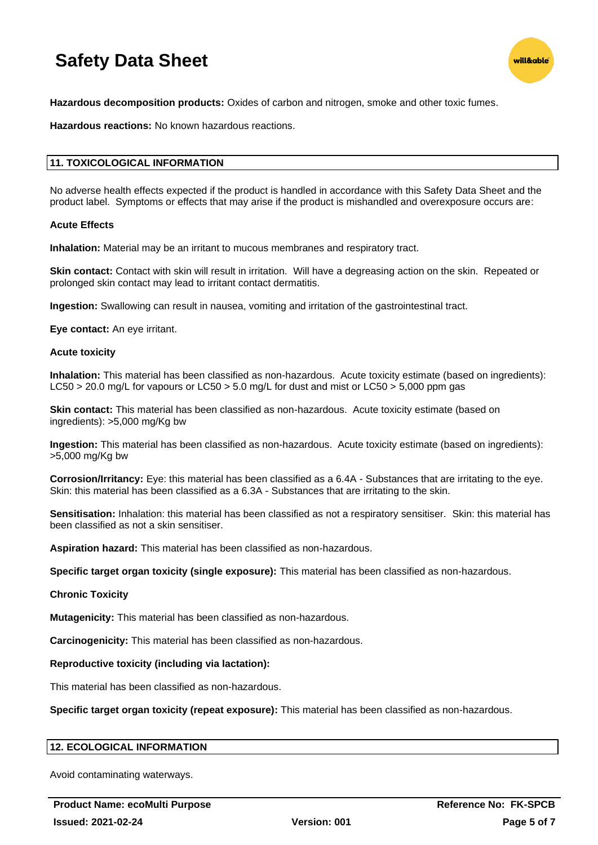

**Hazardous decomposition products:** Oxides of carbon and nitrogen, smoke and other toxic fumes.

**Hazardous reactions:** No known hazardous reactions.

# **11. TOXICOLOGICAL INFORMATION**

No adverse health effects expected if the product is handled in accordance with this Safety Data Sheet and the product label. Symptoms or effects that may arise if the product is mishandled and overexposure occurs are:

### **Acute Effects**

**Inhalation:** Material may be an irritant to mucous membranes and respiratory tract.

**Skin contact:** Contact with skin will result in irritation. Will have a degreasing action on the skin. Repeated or prolonged skin contact may lead to irritant contact dermatitis.

**Ingestion:** Swallowing can result in nausea, vomiting and irritation of the gastrointestinal tract.

**Eye contact:** An eye irritant.

### **Acute toxicity**

**Inhalation:** This material has been classified as non-hazardous. Acute toxicity estimate (based on ingredients): LC50 > 20.0 mg/L for vapours or LC50 > 5.0 mg/L for dust and mist or LC50 > 5,000 ppm gas

**Skin contact:** This material has been classified as non-hazardous. Acute toxicity estimate (based on ingredients): >5,000 mg/Kg bw

**Ingestion:** This material has been classified as non-hazardous. Acute toxicity estimate (based on ingredients): >5,000 mg/Kg bw

**Corrosion/Irritancy:** Eye: this material has been classified as a 6.4A - Substances that are irritating to the eye. Skin: this material has been classified as a 6.3A - Substances that are irritating to the skin.

**Sensitisation:** Inhalation: this material has been classified as not a respiratory sensitiser. Skin: this material has been classified as not a skin sensitiser.

**Aspiration hazard:** This material has been classified as non-hazardous.

**Specific target organ toxicity (single exposure):** This material has been classified as non-hazardous.

### **Chronic Toxicity**

**Mutagenicity:** This material has been classified as non-hazardous.

**Carcinogenicity:** This material has been classified as non-hazardous.

### **Reproductive toxicity (including via lactation):**

This material has been classified as non-hazardous.

**Specific target organ toxicity (repeat exposure):** This material has been classified as non-hazardous.

### **12. ECOLOGICAL INFORMATION**

Avoid contaminating waterways.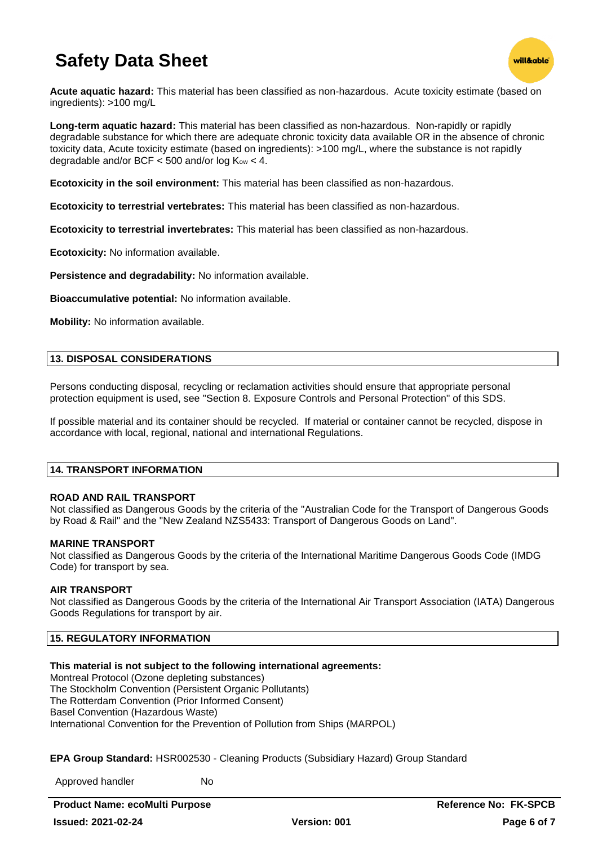

**Acute aquatic hazard:** This material has been classified as non-hazardous. Acute toxicity estimate (based on ingredients): >100 mg/L

**Long-term aquatic hazard:** This material has been classified as non-hazardous. Non-rapidly or rapidly degradable substance for which there are adequate chronic toxicity data available OR in the absence of chronic toxicity data, Acute toxicity estimate (based on ingredients): >100 mg/L, where the substance is not rapidly degradable and/or BCF  $<$  500 and/or log  $K_{ow}$   $<$  4.

**Ecotoxicity in the soil environment:** This material has been classified as non-hazardous.

**Ecotoxicity to terrestrial vertebrates:** This material has been classified as non-hazardous.

**Ecotoxicity to terrestrial invertebrates:** This material has been classified as non-hazardous.

**Ecotoxicity:** No information available.

**Persistence and degradability:** No information available.

**Bioaccumulative potential:** No information available.

**Mobility:** No information available.

# **13. DISPOSAL CONSIDERATIONS**

Persons conducting disposal, recycling or reclamation activities should ensure that appropriate personal protection equipment is used, see "Section 8. Exposure Controls and Personal Protection" of this SDS.

If possible material and its container should be recycled. If material or container cannot be recycled, dispose in accordance with local, regional, national and international Regulations.

### **14. TRANSPORT INFORMATION**

# **ROAD AND RAIL TRANSPORT**

Not classified as Dangerous Goods by the criteria of the "Australian Code for the Transport of Dangerous Goods by Road & Rail" and the "New Zealand NZS5433: Transport of Dangerous Goods on Land".

### **MARINE TRANSPORT**

Not classified as Dangerous Goods by the criteria of the International Maritime Dangerous Goods Code (IMDG Code) for transport by sea.

# **AIR TRANSPORT**

Not classified as Dangerous Goods by the criteria of the International Air Transport Association (IATA) Dangerous Goods Regulations for transport by air.

# **15. REGULATORY INFORMATION**

# **This material is not subject to the following international agreements:**

Montreal Protocol (Ozone depleting substances) The Stockholm Convention (Persistent Organic Pollutants) The Rotterdam Convention (Prior Informed Consent) Basel Convention (Hazardous Waste) International Convention for the Prevention of Pollution from Ships (MARPOL)

**EPA Group Standard:** HSR002530 - Cleaning Products (Subsidiary Hazard) Group Standard

Approved handler No